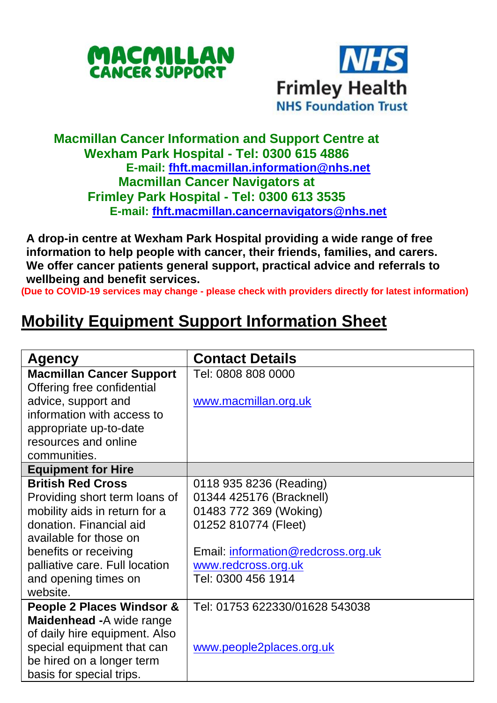



## **Macmillan Cancer Information and Support Centre at Wexham Park Hospital - Tel: 0300 615 4886 E-mail: [fhft.macmillan.information@nhs.net](mailto:fhft.macmillan.information@nhs.net) Macmillan Cancer Navigators at Frimley Park Hospital - Tel: 0300 613 3535 E-mail: [fhft.macmillan.cancernavigators@nhs.net](mailto:fhft.macmillan.cancernavigators@nhs.net)**

**A drop-in centre at Wexham Park Hospital providing a wide range of free information to help people with cancer, their friends, families, and carers. We offer cancer patients general support, practical advice and referrals to wellbeing and benefit services.**

**(Due to COVID-19 services may change - please check with providers directly for latest information)**

## **Mobility Equipment Support Information Sheet**

| <b>Agency</b>                   | <b>Contact Details</b>             |
|---------------------------------|------------------------------------|
| <b>Macmillan Cancer Support</b> | Tel: 0808 808 0000                 |
| Offering free confidential      |                                    |
| advice, support and             | www.macmillan.org.uk               |
| information with access to      |                                    |
| appropriate up-to-date          |                                    |
| resources and online            |                                    |
| communities.                    |                                    |
| <b>Equipment for Hire</b>       |                                    |
| <b>British Red Cross</b>        | 0118 935 8236 (Reading)            |
| Providing short term loans of   | 01344 425176 (Bracknell)           |
| mobility aids in return for a   | 01483 772 369 (Woking)             |
| donation. Financial aid         | 01252 810774 (Fleet)               |
| available for those on          |                                    |
| benefits or receiving           | Email: information@redcross.org.uk |
| palliative care. Full location  | www.redcross.org.uk                |
| and opening times on            | Tel: 0300 456 1914                 |
| website.                        |                                    |
| People 2 Places Windsor &       | Tel: 01753 622330/01628 543038     |
| Maidenhead - A wide range       |                                    |
| of daily hire equipment. Also   |                                    |
| special equipment that can      | www.people2places.org.uk           |
| be hired on a longer term       |                                    |
| basis for special trips.        |                                    |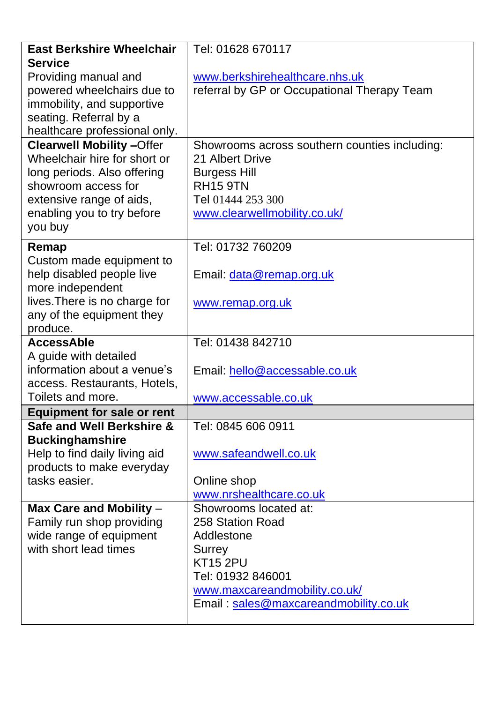| <b>East Berkshire Wheelchair</b>  | Tel: 01628 670117                             |  |  |
|-----------------------------------|-----------------------------------------------|--|--|
| <b>Service</b>                    |                                               |  |  |
| Providing manual and              | www.berkshirehealthcare.nhs.uk                |  |  |
| powered wheelchairs due to        | referral by GP or Occupational Therapy Team   |  |  |
| immobility, and supportive        |                                               |  |  |
| seating. Referral by a            |                                               |  |  |
| healthcare professional only.     |                                               |  |  |
| <b>Clearwell Mobility-Offer</b>   | Showrooms across southern counties including: |  |  |
| Wheelchair hire for short or      | 21 Albert Drive                               |  |  |
| long periods. Also offering       | <b>Burgess Hill</b>                           |  |  |
| showroom access for               | <b>RH15 9TN</b>                               |  |  |
| extensive range of aids,          | Tel 01444 253 300                             |  |  |
| enabling you to try before        | www.clearwellmobility.co.uk/                  |  |  |
| you buy                           |                                               |  |  |
| Remap                             | Tel: 01732 760209                             |  |  |
| Custom made equipment to          |                                               |  |  |
| help disabled people live         | Email: data@remap.org.uk                      |  |  |
| more independent                  |                                               |  |  |
| lives. There is no charge for     | www.remap.org.uk                              |  |  |
| any of the equipment they         |                                               |  |  |
| produce.                          |                                               |  |  |
| <b>AccessAble</b>                 | Tel: 01438 842710                             |  |  |
| A guide with detailed             |                                               |  |  |
| information about a venue's       | Email: hello@accessable.co.uk                 |  |  |
| access. Restaurants, Hotels,      |                                               |  |  |
| Toilets and more.                 | www.accessable.co.uk                          |  |  |
| <b>Equipment for sale or rent</b> |                                               |  |  |
| Safe and Well Berkshire &         | Tel: 0845 606 0911                            |  |  |
| <b>Buckinghamshire</b>            |                                               |  |  |
| Help to find daily living aid     | www.safeandwell.co.uk                         |  |  |
| products to make everyday         |                                               |  |  |
| tasks easier.                     | Online shop                                   |  |  |
|                                   | www.nrshealthcare.co.uk                       |  |  |
| Max Care and Mobility -           | Showrooms located at:                         |  |  |
| Family run shop providing         | 258 Station Road                              |  |  |
| wide range of equipment           | Addlestone                                    |  |  |
| with short lead times             | Surrey                                        |  |  |
|                                   | <b>KT15 2PU</b>                               |  |  |
|                                   | Tel: 01932 846001                             |  |  |
|                                   | www.maxcareandmobility.co.uk/                 |  |  |
|                                   | Email: sales@maxcareandmobility.co.uk         |  |  |
|                                   |                                               |  |  |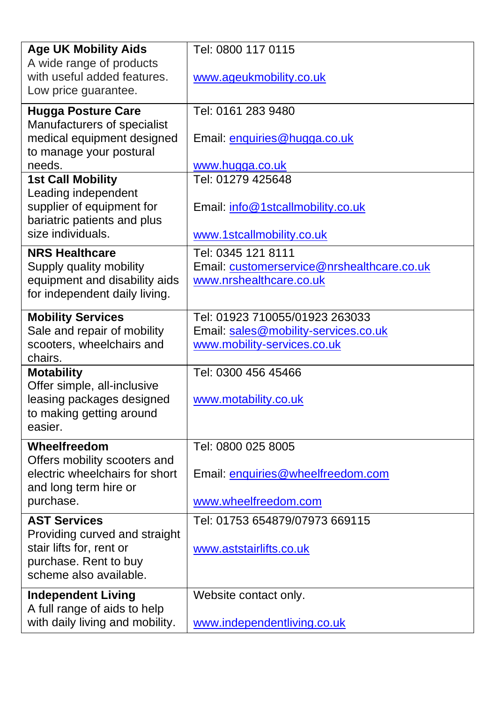| <b>Age UK Mobility Aids</b>                                    | Tel: 0800 117 0115                         |  |
|----------------------------------------------------------------|--------------------------------------------|--|
| A wide range of products                                       |                                            |  |
| with useful added features.                                    | www.ageukmobility.co.uk                    |  |
| Low price guarantee.                                           |                                            |  |
| <b>Hugga Posture Care</b>                                      | Tel: 0161 283 9480                         |  |
| Manufacturers of specialist                                    |                                            |  |
| medical equipment designed                                     | Email: enquiries@hugga.co.uk               |  |
| to manage your postural                                        |                                            |  |
| needs.                                                         | www.hugga.co.uk<br>Tel: 01279 425648       |  |
| <b>1st Call Mobility</b><br>Leading independent                |                                            |  |
| supplier of equipment for                                      | Email: info@1stcallmobility.co.uk          |  |
| bariatric patients and plus                                    |                                            |  |
| size individuals.                                              | www.1stcallmobility.co.uk                  |  |
| <b>NRS Healthcare</b>                                          | Tel: 0345 121 8111                         |  |
| Supply quality mobility                                        | Email: customerservice@nrshealthcare.co.uk |  |
| equipment and disability aids                                  | www.nrshealthcare.co.uk                    |  |
| for independent daily living.                                  |                                            |  |
| <b>Mobility Services</b>                                       | Tel: 01923 710055/01923 263033             |  |
| Sale and repair of mobility                                    | Email: sales@mobility-services.co.uk       |  |
| scooters, wheelchairs and                                      | www.mobility-services.co.uk                |  |
| chairs.                                                        |                                            |  |
| <b>Motability</b>                                              | Tel: 0300 456 45466                        |  |
| Offer simple, all-inclusive                                    |                                            |  |
| leasing packages designed                                      | www.motability.co.uk                       |  |
| to making getting around<br>easier.                            |                                            |  |
|                                                                |                                            |  |
| Wheelfreedom                                                   | Tel: 0800 025 8005                         |  |
| Offers mobility scooters and<br>electric wheelchairs for short | Email: enquiries@wheelfreedom.com          |  |
| and long term hire or                                          |                                            |  |
| purchase.                                                      | www.wheelfreedom.com                       |  |
|                                                                |                                            |  |
| <b>AST Services</b><br>Providing curved and straight           | Tel: 01753 654879/07973 669115             |  |
| stair lifts for, rent or                                       | www.aststairlifts.co.uk                    |  |
| purchase. Rent to buy                                          |                                            |  |
| scheme also available.                                         |                                            |  |
| <b>Independent Living</b>                                      | Website contact only.                      |  |
| A full range of aids to help                                   |                                            |  |
| with daily living and mobility.                                | www.independentliving.co.uk                |  |
|                                                                |                                            |  |